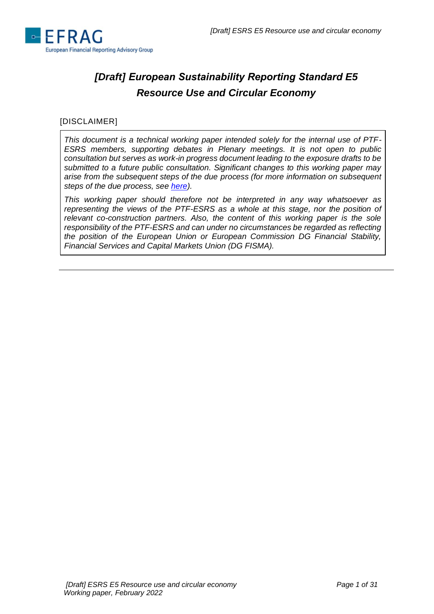

# *[Draft] European Sustainability Reporting Standard E5 Resource Use and Circular Economy*

# [DISCLAIMER]

*This document is a technical working paper intended solely for the internal use of PTF-ESRS members, supporting debates in Plenary meetings. It is not open to public consultation but serves as work-in progress document leading to the exposure drafts to be submitted to a future public consultation. Significant changes to this working paper may arise from the subsequent steps of the due process (for more information on subsequent steps of the due process, see [here\)](https://www.efrag.org/Assets/Download?assetUrl=/sites/webpublishing/SiteAssets/Cover%20note%20for%20Batch%201%20WPs.pdf).*

*This working paper should therefore not be interpreted in any way whatsoever as representing the views of the PTF-ESRS as a whole at this stage, nor the position of relevant co-construction partners. Also, the content of this working paper is the sole responsibility of the PTF-ESRS and can under no circumstances be regarded as reflecting the position of the European Union or European Commission DG Financial Stability, Financial Services and Capital Markets Union (DG FISMA).*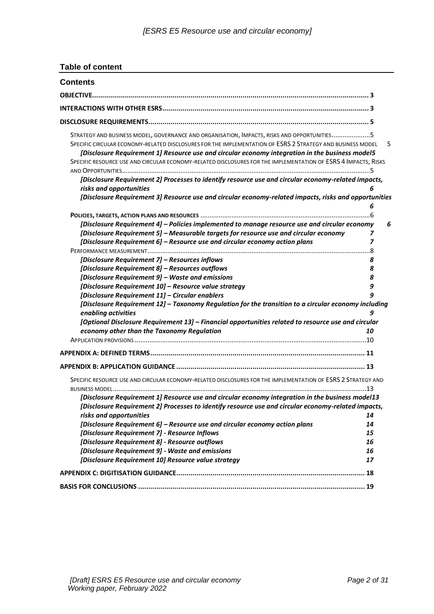# **Table of content**

| <b>Contents</b>                                                                                                                                                                                                                                                                                                                                                                                                                |          |
|--------------------------------------------------------------------------------------------------------------------------------------------------------------------------------------------------------------------------------------------------------------------------------------------------------------------------------------------------------------------------------------------------------------------------------|----------|
| <b>OBJECTIVE</b>                                                                                                                                                                                                                                                                                                                                                                                                               |          |
|                                                                                                                                                                                                                                                                                                                                                                                                                                |          |
|                                                                                                                                                                                                                                                                                                                                                                                                                                |          |
| STRATEGY AND BUSINESS MODEL, GOVERNANCE AND ORGANISATION, IMPACTS, RISKS AND OPPORTUNITIES5<br>SPECIFIC CIRCULAR ECONOMY-RELATED DISCLOSURES FOR THE IMPLEMENTATION OF ESRS 2 STRATEGY AND BUSINESS MODEL<br>[Disclosure Requirement 1] Resource use and circular economy integration in the business model5<br>SPECIFIC RESOURCE USE AND CIRCULAR ECONOMY-RELATED DISCLOSURES FOR THE IMPLEMENTATION OF ESRS 4 IMPACTS, RISKS | 5        |
| [Disclosure Requirement 2] Processes to identify resource use and circular economy-related impacts,<br>risks and opportunities                                                                                                                                                                                                                                                                                                 |          |
| [Disclosure Requirement 3] Resource use and circular economy-related impacts, risks and opportunities                                                                                                                                                                                                                                                                                                                          |          |
|                                                                                                                                                                                                                                                                                                                                                                                                                                | 6<br>. 6 |
| [Disclosure Requirement 4] - Policies implemented to manage resource use and circular economy                                                                                                                                                                                                                                                                                                                                  |          |
|                                                                                                                                                                                                                                                                                                                                                                                                                                | 6        |
| [Disclosure Requirement 5] - Measurable targets for resource use and circular economy                                                                                                                                                                                                                                                                                                                                          | 7        |
| [Disclosure Requirement 6] - Resource use and circular economy action plans                                                                                                                                                                                                                                                                                                                                                    | 7        |
| [Disclosure Requirement 7] - Resources inflows                                                                                                                                                                                                                                                                                                                                                                                 | 8        |
| [Disclosure Requirement 8] - Resources outflows                                                                                                                                                                                                                                                                                                                                                                                | 8        |
| [Disclosure Requirement 9] - Waste and emissions                                                                                                                                                                                                                                                                                                                                                                               | 8        |
| [Disclosure Requirement 10] - Resource value strategy                                                                                                                                                                                                                                                                                                                                                                          | 9        |
| [Disclosure Requirement 11] - Circular enablers                                                                                                                                                                                                                                                                                                                                                                                |          |
| [Disclosure Requirement 12] - Taxonomy Regulation for the transition to a circular economy including                                                                                                                                                                                                                                                                                                                           |          |
| enabling activities                                                                                                                                                                                                                                                                                                                                                                                                            | 9        |
| [Optional Disclosure Requirement 13] - Financial opportunities related to resource use and circular                                                                                                                                                                                                                                                                                                                            |          |
| economy other than the Taxonomy Regulation                                                                                                                                                                                                                                                                                                                                                                                     | 10       |
|                                                                                                                                                                                                                                                                                                                                                                                                                                |          |
|                                                                                                                                                                                                                                                                                                                                                                                                                                |          |
|                                                                                                                                                                                                                                                                                                                                                                                                                                |          |
| SPECIFIC RESOURCE USE AND CIRCULAR ECONOMY-RELATED DISCLOSURES FOR THE IMPLEMENTATION OF ESRS 2 STRATEGY AND                                                                                                                                                                                                                                                                                                                   |          |
|                                                                                                                                                                                                                                                                                                                                                                                                                                |          |
| [Disclosure Requirement 1] Resource use and circular economy integration in the business model13                                                                                                                                                                                                                                                                                                                               |          |
| [Disclosure Requirement 2] Processes to identify resource use and circular economy-related impacts,                                                                                                                                                                                                                                                                                                                            |          |
| risks and opportunities                                                                                                                                                                                                                                                                                                                                                                                                        | 14       |
| [Disclosure Requirement 6] - Resource use and circular economy action plans                                                                                                                                                                                                                                                                                                                                                    | 14       |
| [Disclosure Requirement 7] - Resource Inflows                                                                                                                                                                                                                                                                                                                                                                                  | 15       |
| [Disclosure Requirement 8] - Resource outflows                                                                                                                                                                                                                                                                                                                                                                                 | 16       |
| [Disclosure Requirement 9] - Waste and emissions                                                                                                                                                                                                                                                                                                                                                                               | 16       |
| [Disclosure Requirement 10] Resource value strategy                                                                                                                                                                                                                                                                                                                                                                            | 17       |
|                                                                                                                                                                                                                                                                                                                                                                                                                                |          |
|                                                                                                                                                                                                                                                                                                                                                                                                                                |          |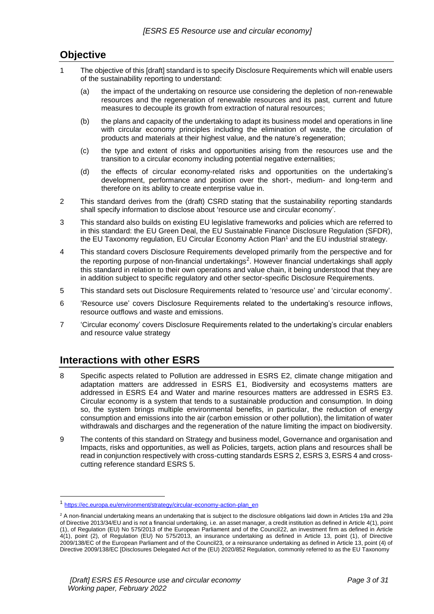# <span id="page-2-0"></span>**Objective**

- 1 The objective of this [draft] standard is to specify Disclosure Requirements which will enable users of the sustainability reporting to understand:
	- (a) the impact of the undertaking on resource use considering the depletion of non-renewable resources and the regeneration of renewable resources and its past, current and future measures to decouple its growth from extraction of natural resources;
	- (b) the plans and capacity of the undertaking to adapt its business model and operations in line with circular economy principles including the elimination of waste, the circulation of products and materials at their highest value, and the nature's regeneration;
	- (c) the type and extent of risks and opportunities arising from the resources use and the transition to a circular economy including potential negative externalities;
	- (d) the effects of circular economy-related risks and opportunities on the undertaking's development, performance and position over the short-, medium- and long-term and therefore on its ability to create enterprise value in.
- 2 This standard derives from the (draft) CSRD stating that the sustainability reporting standards shall specify information to disclose about 'resource use and circular economy'.
- 3 This standard also builds on existing EU legislative frameworks and policies which are referred to in this standard: the EU Green Deal, the EU Sustainable Finance Disclosure Regulation (SFDR), the EU Taxonomy regulation, EU Circular Economy Action Plan<sup>1</sup> and the EU industrial strategy.
- 4 This standard covers Disclosure Requirements developed primarily from the perspective and for the reporting purpose of non-financial undertakings<sup>2</sup>. However financial undertakings shall apply this standard in relation to their own operations and value chain, it being understood that they are in addition subject to specific regulatory and other sector-specific Disclosure Requirements.
- 5 This standard sets out Disclosure Requirements related to 'resource use' and 'circular economy'.
- 6 'Resource use' covers Disclosure Requirements related to the undertaking's resource inflows, resource outflows and waste and emissions.
- 7 'Circular economy' covers Disclosure Requirements related to the undertaking's circular enablers and resource value strategy

# <span id="page-2-1"></span>**Interactions with other ESRS**

- 8 Specific aspects related to Pollution are addressed in ESRS E2, climate change mitigation and adaptation matters are addressed in ESRS E1, Biodiversity and ecosystems matters are addressed in ESRS E4 and Water and marine resources matters are addressed in ESRS E3. Circular economy is a system that tends to a sustainable production and consumption. In doing so, the system brings multiple environmental benefits, in particular, the reduction of energy consumption and emissions into the air (carbon emission or other pollution), the limitation of water withdrawals and discharges and the regeneration of the nature limiting the impact on biodiversity.
- 9 The contents of this standard on Strategy and business model, Governance and organisation and Impacts, risks and opportunities, as well as Policies, targets, action plans and resources shall be read in conjunction respectively with cross-cutting standards ESRS 2, ESRS 3, ESRS 4 and crosscutting reference standard ESRS 5.

<sup>1</sup> [https://ec.europa.eu/environment/strategy/circular-economy-action-plan\\_en](https://ec.europa.eu/environment/strategy/circular-economy-action-plan_en)

<sup>&</sup>lt;sup>2</sup> A non-financial undertaking means an undertaking that is subject to the disclosure obligations laid down in Articles 19a and 29a of Directive 2013/34/EU and is not a financial undertaking, i.e. an asset manager, a credit institution as defined in Article 4(1), point (1), of Regulation (EU) No 575/2013 of the European Parliament and of the Council22, an investment firm as defined in Article 4(1), point (2), of Regulation (EU) No 575/2013, an insurance undertaking as defined in Article 13, point (1), of Directive 2009/138/EC of the European Parliament and of the Council23, or a reinsurance undertaking as defined in Article 13, point (4) of Directive 2009/138/EC [Disclosures Delegated Act of the (EU) 2020/852 Regulation, commonly referred to as the EU Taxonomy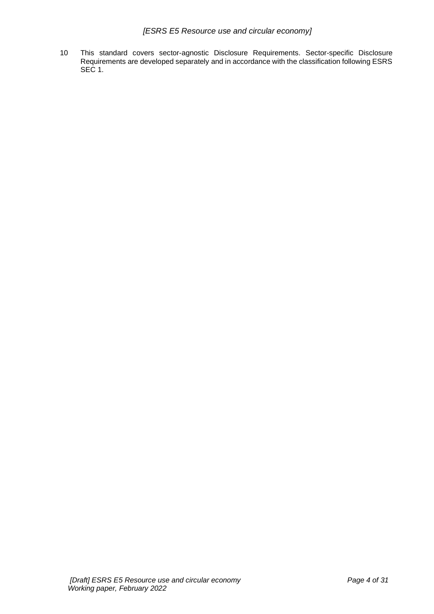10 This standard covers sector-agnostic Disclosure Requirements. Sector-specific Disclosure Requirements are developed separately and in accordance with the classification following ESRS SEC 1.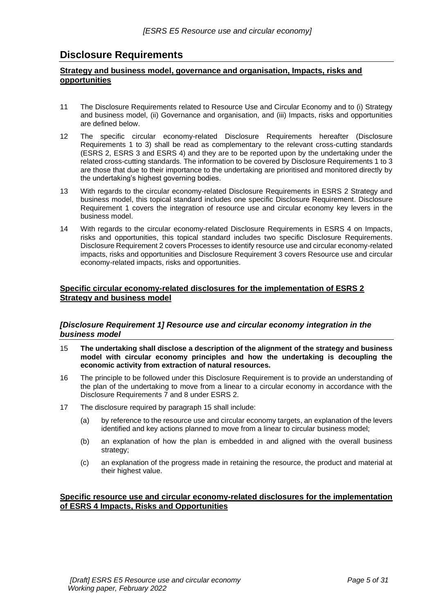# <span id="page-4-0"></span>**Disclosure Requirements**

# <span id="page-4-1"></span>**Strategy and business model, governance and organisation, Impacts, risks and opportunities**

- 11 The Disclosure Requirements related to Resource Use and Circular Economy and to (i) Strategy and business model, (ii) Governance and organisation, and (iii) Impacts, risks and opportunities are defined below.
- 12 The specific circular economy-related Disclosure Requirements hereafter (Disclosure Requirements 1 to 3) shall be read as complementary to the relevant cross-cutting standards (ESRS 2, ESRS 3 and ESRS 4) and they are to be reported upon by the undertaking under the related cross-cutting standards. The information to be covered by Disclosure Requirements 1 to 3 are those that due to their importance to the undertaking are prioritised and monitored directly by the undertaking's highest governing bodies.
- 13 With regards to the circular economy-related Disclosure Requirements in ESRS 2 Strategy and business model, this topical standard includes one specific Disclosure Requirement. Disclosure Requirement 1 covers the integration of resource use and circular economy key levers in the business model.
- 14 With regards to the circular economy-related Disclosure Requirements in ESRS 4 on Impacts, risks and opportunities, this topical standard includes two specific Disclosure Requirements. Disclosure Requirement 2 covers Processes to identify resource use and circular economy-related impacts, risks and opportunities and Disclosure Requirement 3 covers Resource use and circular economy-related impacts, risks and opportunities.

# <span id="page-4-2"></span>**Specific circular economy-related disclosures for the implementation of ESRS 2 Strategy and business model**

# <span id="page-4-3"></span>*[Disclosure Requirement 1] Resource use and circular economy integration in the business model*

- 15 **The undertaking shall disclose a description of the alignment of the strategy and business model with circular economy principles and how the undertaking is decoupling the economic activity from extraction of natural resources.**
- 16 The principle to be followed under this Disclosure Requirement is to provide an understanding of the plan of the undertaking to move from a linear to a circular economy in accordance with the Disclosure Requirements 7 and 8 under ESRS 2.
- 17 The disclosure required by paragraph 15 shall include:
	- (a) by reference to the resource use and circular economy targets, an explanation of the levers identified and key actions planned to move from a linear to circular business model;
	- (b) an explanation of how the plan is embedded in and aligned with the overall business strategy:
	- (c) an explanation of the progress made in retaining the resource, the product and material at their highest value.

# <span id="page-4-4"></span>**Specific resource use and circular economy-related disclosures for the implementation of ESRS 4 Impacts, Risks and Opportunities**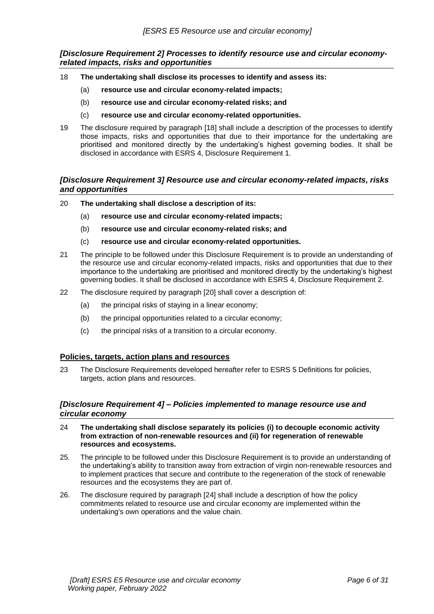<span id="page-5-0"></span>*[Disclosure Requirement 2] Processes to identify resource use and circular economyrelated impacts, risks and opportunities*

- 18 **The undertaking shall disclose its processes to identify and assess its:**
	- (a) **resource use and circular economy-related impacts;**
	- (b) **resource use and circular economy-related risks; and**
	- (c) **resource use and circular economy-related opportunities.**
- 19 The disclosure required by paragraph [18] shall include a description of the processes to identify those impacts, risks and opportunities that due to their importance for the undertaking are prioritised and monitored directly by the undertaking's highest governing bodies. It shall be disclosed in accordance with ESRS 4, Disclosure Requirement 1.

# <span id="page-5-1"></span>*[Disclosure Requirement 3] Resource use and circular economy-related impacts, risks and opportunities*

- 20 **The undertaking shall disclose a description of its:**
	- (a) **resource use and circular economy-related impacts;**
	- (b) **resource use and circular economy-related risks; and**
	- (c) **resource use and circular economy-related opportunities.**
- 21 The principle to be followed under this Disclosure Requirement is to provide an understanding of the resource use and circular economy-related impacts, risks and opportunities that due to their importance to the undertaking are prioritised and monitored directly by the undertaking's highest governing bodies. It shall be disclosed in accordance with ESRS 4, Disclosure Requirement 2.
- 22 The disclosure required by paragraph [20] shall cover a description of:
	- (a) the principal risks of staying in a linear economy;
	- (b) the principal opportunities related to a circular economy;
	- (c) the principal risks of a transition to a circular economy.

# <span id="page-5-2"></span>**Policies, targets, action plans and resources**

23 The Disclosure Requirements developed hereafter refer to ESRS 5 Definitions for policies, targets, action plans and resources.

# <span id="page-5-3"></span>*[Disclosure Requirement 4] – Policies implemented to manage resource use and circular economy*

- 24 **The undertaking shall disclose separately its policies (i) to decouple economic activity from extraction of non-renewable resources and (ii) for regeneration of renewable resources and ecosystems.**
- 25. The principle to be followed under this Disclosure Requirement is to provide an understanding of the undertaking's ability to transition away from extraction of virgin non-renewable resources and to implement practices that secure and contribute to the regeneration of the stock of renewable resources and the ecosystems they are part of.
- 26. The disclosure required by paragraph [24] shall include a description of how the policy commitments related to resource use and circular economy are implemented within the undertaking's own operations and the value chain.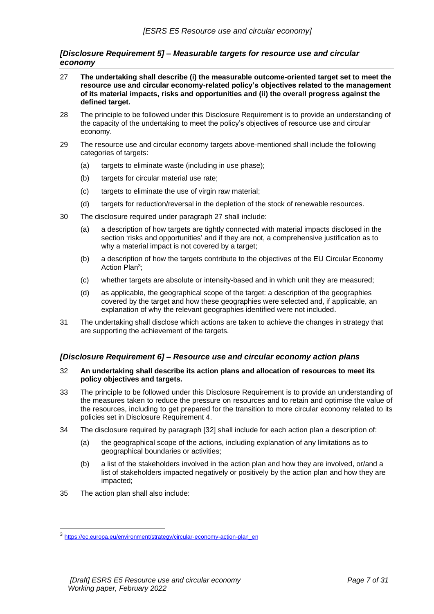# <span id="page-6-0"></span>*[Disclosure Requirement 5] – Measurable targets for resource use and circular economy*

- 27 **The undertaking shall describe (i) the measurable outcome-oriented target set to meet the resource use and circular economy-related policy's objectives related to the management of its material impacts, risks and opportunities and (ii) the overall progress against the defined target.**
- 28 The principle to be followed under this Disclosure Requirement is to provide an understanding of the capacity of the undertaking to meet the policy's objectives of resource use and circular economy.
- 29 The resource use and circular economy targets above-mentioned shall include the following categories of targets:
	- (a) targets to eliminate waste (including in use phase);
	- (b) targets for circular material use rate;
	- (c) targets to eliminate the use of virgin raw material;
	- (d) targets for reduction/reversal in the depletion of the stock of renewable resources.
- 30 The disclosure required under paragraph 27 shall include:
	- (a) a description of how targets are tightly connected with material impacts disclosed in the section 'risks and opportunities' and if they are not, a comprehensive justification as to why a material impact is not covered by a target;
	- (b) a description of how the targets contribute to the objectives of the EU Circular Economy Action Plan<sup>3</sup>;
	- (c) whether targets are absolute or intensity-based and in which unit they are measured;
	- (d) as applicable, the geographical scope of the target: a description of the geographies covered by the target and how these geographies were selected and, if applicable, an explanation of why the relevant geographies identified were not included.
- 31 The undertaking shall disclose which actions are taken to achieve the changes in strategy that are supporting the achievement of the targets.

# <span id="page-6-1"></span>*[Disclosure Requirement 6] – Resource use and circular economy action plans*

#### 32 **An undertaking shall describe its action plans and allocation of resources to meet its policy objectives and targets.**

- 33 The principle to be followed under this Disclosure Requirement is to provide an understanding of the measures taken to reduce the pressure on resources and to retain and optimise the value of the resources, including to get prepared for the transition to more circular economy related to its policies set in Disclosure Requirement 4.
- 34 The disclosure required by paragraph [32] shall include for each action plan a description of:
	- (a) the geographical scope of the actions, including explanation of any limitations as to geographical boundaries or activities;
	- (b) a list of the stakeholders involved in the action plan and how they are involved, or/and a list of stakeholders impacted negatively or positively by the action plan and how they are impacted;
- 35 The action plan shall also include:

<sup>&</sup>lt;sup>3</sup> [https://ec.europa.eu/environment/strategy/circular-economy-action-plan\\_en](https://ec.europa.eu/environment/strategy/circular-economy-action-plan_en)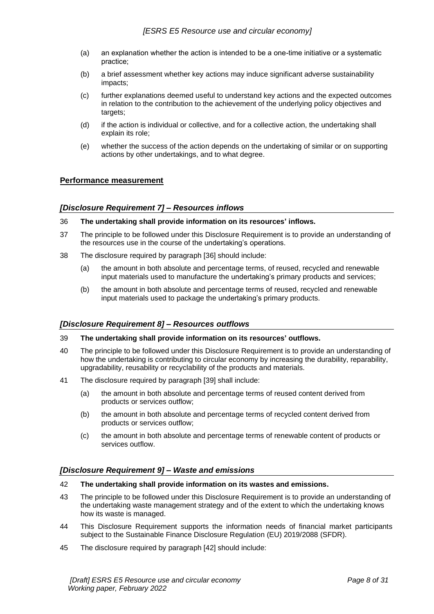- (a) an explanation whether the action is intended to be a one-time initiative or a systematic practice;
- (b) a brief assessment whether key actions may induce significant adverse sustainability impacts;
- (c) further explanations deemed useful to understand key actions and the expected outcomes in relation to the contribution to the achievement of the underlying policy objectives and targets:
- (d) if the action is individual or collective, and for a collective action, the undertaking shall explain its role;
- (e) whether the success of the action depends on the undertaking of similar or on supporting actions by other undertakings, and to what degree.

# <span id="page-7-0"></span>**Performance measurement**

# <span id="page-7-1"></span>*[Disclosure Requirement 7] – Resources inflows*

- 36 **The undertaking shall provide information on its resources' inflows.**
- 37 The principle to be followed under this Disclosure Requirement is to provide an understanding of the resources use in the course of the undertaking's operations.
- 38 The disclosure required by paragraph [36] should include:
	- (a) the amount in both absolute and percentage terms, of reused, recycled and renewable input materials used to manufacture the undertaking's primary products and services;
	- (b) the amount in both absolute and percentage terms of reused, recycled and renewable input materials used to package the undertaking's primary products.

# <span id="page-7-2"></span>*[Disclosure Requirement 8] – Resources outflows*

#### 39 **The undertaking shall provide information on its resources' outflows.**

- 40 The principle to be followed under this Disclosure Requirement is to provide an understanding of how the undertaking is contributing to circular economy by increasing the durability, reparability, upgradability, reusability or recyclability of the products and materials.
- 41 The disclosure required by paragraph [39] shall include:
	- (a) the amount in both absolute and percentage terms of reused content derived from products or services outflow;
	- (b) the amount in both absolute and percentage terms of recycled content derived from products or services outflow;
	- (c) the amount in both absolute and percentage terms of renewable content of products or services outflow.

# <span id="page-7-3"></span>*[Disclosure Requirement 9] – Waste and emissions*

- 42 **The undertaking shall provide information on its wastes and emissions.**
- 43 The principle to be followed under this Disclosure Requirement is to provide an understanding of the undertaking waste management strategy and of the extent to which the undertaking knows how its waste is managed.
- 44 This Disclosure Requirement supports the information needs of financial market participants subject to the Sustainable Finance Disclosure Regulation (EU) 2019/2088 (SFDR).
- 45 The disclosure required by paragraph [42] should include: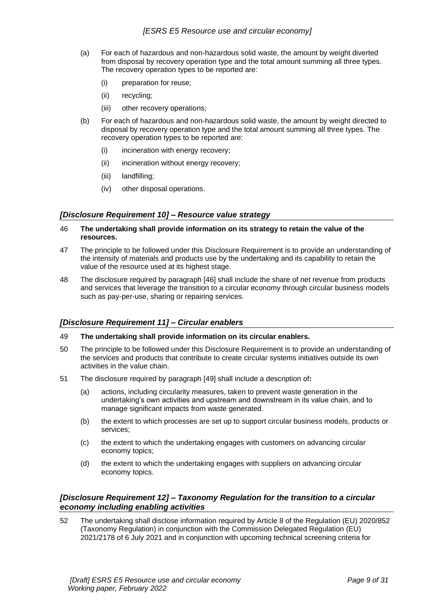- (a) For each of hazardous and non-hazardous solid waste, the amount by weight diverted from disposal by recovery operation type and the total amount summing all three types. The recovery operation types to be reported are:
	- (i) preparation for reuse;
	- (ii) recycling;
	- (iii) other recovery operations;
- (b) For each of hazardous and non-hazardous solid waste, the amount by weight directed to disposal by recovery operation type and the total amount summing all three types. The recovery operation types to be reported are:
	- (i) incineration with energy recovery;
	- (ii) incineration without energy recovery;
	- (iii) landfilling;
	- (iv) other disposal operations.

# <span id="page-8-0"></span>*[Disclosure Requirement 10] – Resource value strategy*

- 46 **The undertaking shall provide information on its strategy to retain the value of the resources.**
- 47 The principle to be followed under this Disclosure Requirement is to provide an understanding of the intensity of materials and products use by the undertaking and its capability to retain the value of the resource used at its highest stage.
- 48 The disclosure required by paragraph [46] shall include the share of net revenue from products and services that leverage the transition to a circular economy through circular business models such as pay-per-use, sharing or repairing services.

# <span id="page-8-1"></span>*[Disclosure Requirement 11] – Circular enablers*

# 49 **The undertaking shall provide information on its circular enablers.**

- 50 The principle to be followed under this Disclosure Requirement is to provide an understanding of the services and products that contribute to create circular systems initiatives outside its own activities in the value chain.
- 51 The disclosure required by paragraph [49] shall include a description of**:**
	- (a) actions, including circularity measures, taken to prevent waste generation in the undertaking's own activities and upstream and downstream in its value chain, and to manage significant impacts from waste generated.
	- (b) the extent to which processes are set up to support circular business models, products or services;
	- (c) the extent to which the undertaking engages with customers on advancing circular economy topics;
	- (d) the extent to which the undertaking engages with suppliers on advancing circular economy topics.

# <span id="page-8-2"></span>*[Disclosure Requirement 12] – Taxonomy Regulation for the transition to a circular economy including enabling activities*

52 The undertaking shall disclose information required by Article 8 of the Regulation (EU) 2020/852 (Taxonomy Regulation) in conjunction with the Commission Delegated Regulation (EU) 2021/2178 of 6 July 2021 and in conjunction with upcoming technical screening criteria for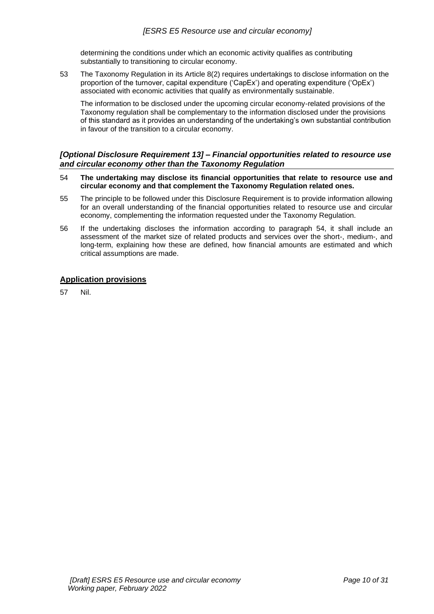determining the conditions under which an economic activity qualifies as contributing substantially to transitioning to circular economy.

53 The Taxonomy Regulation in its Article 8(2) requires undertakings to disclose information on the proportion of the turnover, capital expenditure ('CapEx') and operating expenditure ('OpEx') associated with economic activities that qualify as environmentally sustainable.

The information to be disclosed under the upcoming circular economy-related provisions of the Taxonomy regulation shall be complementary to the information disclosed under the provisions of this standard as it provides an understanding of the undertaking's own substantial contribution in favour of the transition to a circular economy.

# <span id="page-9-0"></span>*[Optional Disclosure Requirement 13] – Financial opportunities related to resource use and circular economy other than the Taxonomy Regulation*

- 54 **The undertaking may disclose its financial opportunities that relate to resource use and circular economy and that complement the Taxonomy Regulation related ones.**
- 55 The principle to be followed under this Disclosure Requirement is to provide information allowing for an overall understanding of the financial opportunities related to resource use and circular economy, complementing the information requested under the Taxonomy Regulation.
- 56 If the undertaking discloses the information according to paragraph 54, it shall include an assessment of the market size of related products and services over the short-, medium-, and long-term, explaining how these are defined, how financial amounts are estimated and which critical assumptions are made.

# <span id="page-9-1"></span>**Application provisions**

57 Nil.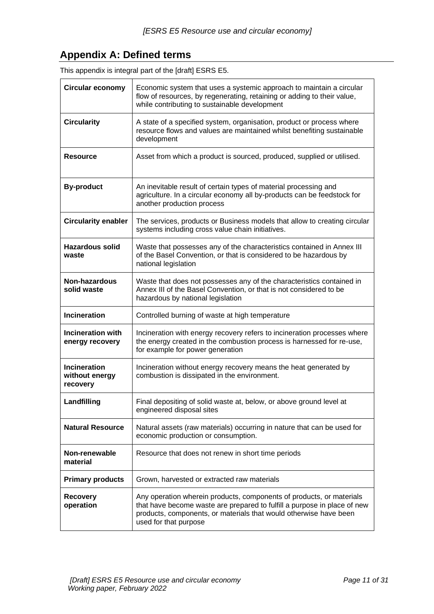# <span id="page-10-0"></span>**Appendix A: Defined terms**

| <b>Circular economy</b>                           | Economic system that uses a systemic approach to maintain a circular<br>flow of resources, by regenerating, retaining or adding to their value,<br>while contributing to sustainable development                                               |  |
|---------------------------------------------------|------------------------------------------------------------------------------------------------------------------------------------------------------------------------------------------------------------------------------------------------|--|
| <b>Circularity</b>                                | A state of a specified system, organisation, product or process where<br>resource flows and values are maintained whilst benefiting sustainable<br>development                                                                                 |  |
| <b>Resource</b>                                   | Asset from which a product is sourced, produced, supplied or utilised.                                                                                                                                                                         |  |
| <b>By-product</b>                                 | An inevitable result of certain types of material processing and<br>agriculture. In a circular economy all by-products can be feedstock for<br>another production process                                                                      |  |
| <b>Circularity enabler</b>                        | The services, products or Business models that allow to creating circular<br>systems including cross value chain initiatives.                                                                                                                  |  |
| <b>Hazardous solid</b><br>waste                   | Waste that possesses any of the characteristics contained in Annex III<br>of the Basel Convention, or that is considered to be hazardous by<br>national legislation                                                                            |  |
| Non-hazardous<br>solid waste                      | Waste that does not possesses any of the characteristics contained in<br>Annex III of the Basel Convention, or that is not considered to be<br>hazardous by national legislation                                                               |  |
| <b>Incineration</b>                               | Controlled burning of waste at high temperature                                                                                                                                                                                                |  |
| <b>Incineration with</b><br>energy recovery       | Incineration with energy recovery refers to incineration processes where<br>the energy created in the combustion process is harnessed for re-use,<br>for example for power generation                                                          |  |
| <b>Incineration</b><br>without energy<br>recovery | Incineration without energy recovery means the heat generated by<br>combustion is dissipated in the environment.                                                                                                                               |  |
| Landfilling                                       | Final depositing of solid waste at, below, or above ground level at<br>engineered disposal sites                                                                                                                                               |  |
| <b>Natural Resource</b>                           | Natural assets (raw materials) occurring in nature that can be used for<br>economic production or consumption.                                                                                                                                 |  |
| Non-renewable<br>material                         | Resource that does not renew in short time periods                                                                                                                                                                                             |  |
| <b>Primary products</b>                           | Grown, harvested or extracted raw materials                                                                                                                                                                                                    |  |
| <b>Recovery</b><br>operation                      | Any operation wherein products, components of products, or materials<br>that have become waste are prepared to fulfill a purpose in place of new<br>products, components, or materials that would otherwise have been<br>used for that purpose |  |

This appendix is integral part of the [draft] ESRS E5.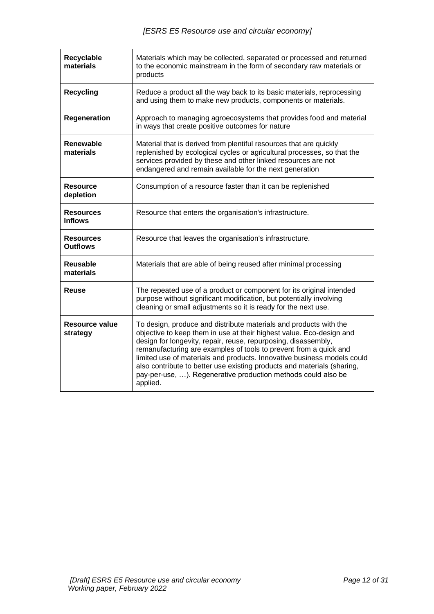| <b>Recyclable</b><br>materials      | Materials which may be collected, separated or processed and returned<br>to the economic mainstream in the form of secondary raw materials or<br>products                                                                                                                                                                                                                                                                                                                                                           |  |  |
|-------------------------------------|---------------------------------------------------------------------------------------------------------------------------------------------------------------------------------------------------------------------------------------------------------------------------------------------------------------------------------------------------------------------------------------------------------------------------------------------------------------------------------------------------------------------|--|--|
| <b>Recycling</b>                    | Reduce a product all the way back to its basic materials, reprocessing<br>and using them to make new products, components or materials.                                                                                                                                                                                                                                                                                                                                                                             |  |  |
| Regeneration                        | Approach to managing agroecosystems that provides food and material<br>in ways that create positive outcomes for nature                                                                                                                                                                                                                                                                                                                                                                                             |  |  |
| Renewable<br>materials              | Material that is derived from plentiful resources that are quickly<br>replenished by ecological cycles or agricultural processes, so that the<br>services provided by these and other linked resources are not<br>endangered and remain available for the next generation                                                                                                                                                                                                                                           |  |  |
| <b>Resource</b><br>depletion        | Consumption of a resource faster than it can be replenished                                                                                                                                                                                                                                                                                                                                                                                                                                                         |  |  |
| <b>Resources</b><br><b>Inflows</b>  | Resource that enters the organisation's infrastructure.                                                                                                                                                                                                                                                                                                                                                                                                                                                             |  |  |
| <b>Resources</b><br><b>Outflows</b> | Resource that leaves the organisation's infrastructure.                                                                                                                                                                                                                                                                                                                                                                                                                                                             |  |  |
| Reusable<br>materials               | Materials that are able of being reused after minimal processing                                                                                                                                                                                                                                                                                                                                                                                                                                                    |  |  |
| Reuse                               | The repeated use of a product or component for its original intended<br>purpose without significant modification, but potentially involving<br>cleaning or small adjustments so it is ready for the next use.                                                                                                                                                                                                                                                                                                       |  |  |
| Resource value<br>strategy          | To design, produce and distribute materials and products with the<br>objective to keep them in use at their highest value. Eco-design and<br>design for longevity, repair, reuse, repurposing, disassembly,<br>remanufacturing are examples of tools to prevent from a quick and<br>limited use of materials and products. Innovative business models could<br>also contribute to better use existing products and materials (sharing,<br>pay-per-use, ). Regenerative production methods could also be<br>applied. |  |  |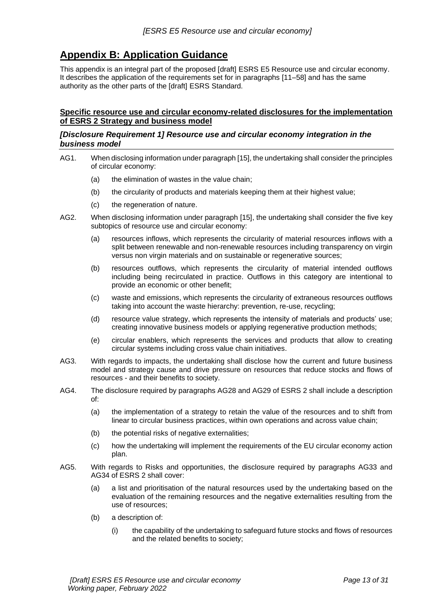# <span id="page-12-0"></span>**Appendix B: Application Guidance**

This appendix is an integral part of the proposed [draft] ESRS E5 Resource use and circular economy. It describes the application of the requirements set for in paragraphs [11–58] and has the same authority as the other parts of the [draft] ESRS Standard.

# <span id="page-12-1"></span>**Specific resource use and circular economy-related disclosures for the implementation of ESRS 2 Strategy and business model**

# <span id="page-12-2"></span>*[Disclosure Requirement 1] Resource use and circular economy integration in the business model*

- AG1. When disclosing information under paragraph [15], the undertaking shall consider the principles of circular economy:
	- (a) the elimination of wastes in the value chain;
	- (b) the circularity of products and materials keeping them at their highest value;
	- (c) the regeneration of nature.
- AG2. When disclosing information under paragraph [15], the undertaking shall consider the five key subtopics of resource use and circular economy:
	- (a) resources inflows, which represents the circularity of material resources inflows with a split between renewable and non-renewable resources including transparency on virgin versus non virgin materials and on sustainable or regenerative sources;
	- (b) resources outflows, which represents the circularity of material intended outflows including being recirculated in practice. Outflows in this category are intentional to provide an economic or other benefit;
	- (c) waste and emissions, which represents the circularity of extraneous resources outflows taking into account the waste hierarchy: prevention, re-use, recycling;
	- (d) resource value strategy, which represents the intensity of materials and products' use; creating innovative business models or applying regenerative production methods;
	- (e) circular enablers, which represents the services and products that allow to creating circular systems including cross value chain initiatives.
- AG3. With regards to impacts, the undertaking shall disclose how the current and future business model and strategy cause and drive pressure on resources that reduce stocks and flows of resources - and their benefits to society.
- AG4. The disclosure required by paragraphs AG28 and AG29 of ESRS 2 shall include a description of:
	- (a) the implementation of a strategy to retain the value of the resources and to shift from linear to circular business practices, within own operations and across value chain;
	- (b) the potential risks of negative externalities;
	- (c) how the undertaking will implement the requirements of the EU circular economy action plan.
- AG5. With regards to Risks and opportunities, the disclosure required by paragraphs AG33 and AG34 of ESRS 2 shall cover:
	- (a) a list and prioritisation of the natural resources used by the undertaking based on the evaluation of the remaining resources and the negative externalities resulting from the use of resources;
	- (b) a description of:
		- (i) the capability of the undertaking to safeguard future stocks and flows of resources and the related benefits to society;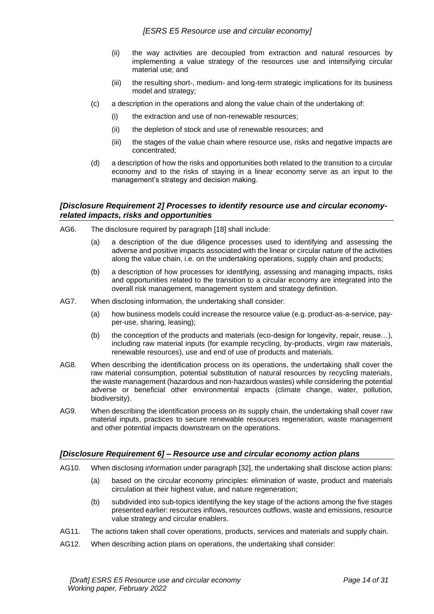- (ii) the way activities are decoupled from extraction and natural resources by implementing a value strategy of the resources use and intensifying circular material use; and
- (iii) the resulting short-, medium- and long-term strategic implications for its business model and strategy;
- (c) a description in the operations and along the value chain of the undertaking of:
	- (i) the extraction and use of non-renewable resources;
	- (ii) the depletion of stock and use of renewable resources; and
	- (iii) the stages of the value chain where resource use, risks and negative impacts are concentrated;
- (d) a description of how the risks and opportunities both related to the transition to a circular economy and to the risks of staying in a linear economy serve as an input to the management's strategy and decision making.

# <span id="page-13-0"></span>*[Disclosure Requirement 2] Processes to identify resource use and circular economyrelated impacts, risks and opportunities*

- AG6. The disclosure required by paragraph [18] shall include:
	- (a) a description of the due diligence processes used to identifying and assessing the adverse and positive impacts associated with the linear or circular nature of the activities along the value chain, i.e. on the undertaking operations, supply chain and products;
	- (b) a description of how processes for identifying, assessing and managing impacts, risks and opportunities related to the transition to a circular economy are integrated into the overall risk management, management system and strategy definition.
- AG7. When disclosing information, the undertaking shall consider:
	- (a) how business models could increase the resource value (e.g. product-as-a-service, payper-use, sharing, leasing);
	- (b) the conception of the products and materials (eco-design for longevity, repair, reuse…), including raw material inputs (for example recycling, by-products, virgin raw materials, renewable resources), use and end of use of products and materials.
- AG8. When describing the identification process on its operations, the undertaking shall cover the raw material consumption, potential substitution of natural resources by recycling materials, the waste management (hazardous and non-hazardous wastes) while considering the potential adverse or beneficial other environmental impacts (climate change, water, pollution, biodiversity).
- AG9. When describing the identification process on its supply chain, the undertaking shall cover raw material inputs, practices to secure renewable resources regeneration, waste management and other potential impacts downstream on the operations.

# <span id="page-13-1"></span>*[Disclosure Requirement 6] – Resource use and circular economy action plans*

- AG10. When disclosing information under paragraph [32], the undertaking shall disclose action plans:
	- (a) based on the circular economy principles: elimination of waste, product and materials circulation at their highest value, and nature regeneration;
	- (b) subdivided into sub-topics identifying the key stage of the actions among the five stages presented earlier: resources inflows, resources outflows, waste and emissions, resource value strategy and circular enablers.
- AG11. The actions taken shall cover operations, products, services and materials and supply chain.
- AG12. When describing action plans on operations, the undertaking shall consider: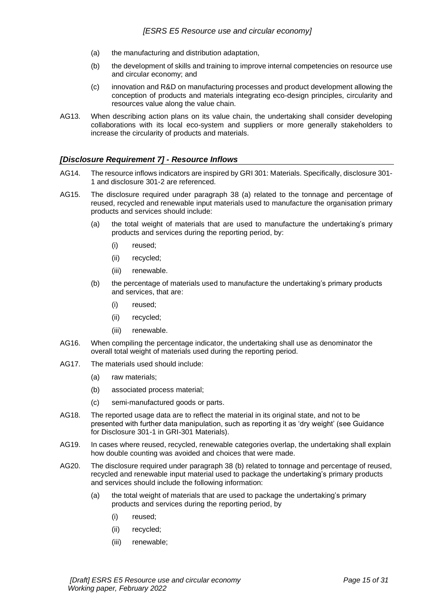- (a) the manufacturing and distribution adaptation,
- (b) the development of skills and training to improve internal competencies on resource use and circular economy; and
- (c) innovation and R&D on manufacturing processes and product development allowing the conception of products and materials integrating eco-design principles, circularity and resources value along the value chain.
- AG13. When describing action plans on its value chain, the undertaking shall consider developing collaborations with its local eco-system and suppliers or more generally stakeholders to increase the circularity of products and materials.

# <span id="page-14-0"></span>*[Disclosure Requirement 7] - Resource Inflows*

- AG14. The resource inflows indicators are inspired by GRI 301: Materials. Specifically, disclosure 301- 1 and disclosure 301-2 are referenced.
- AG15. The disclosure required under paragraph 38 (a) related to the tonnage and percentage of reused, recycled and renewable input materials used to manufacture the organisation primary products and services should include:
	- (a) the total weight of materials that are used to manufacture the undertaking's primary products and services during the reporting period, by:
		- (i) reused;
		- (ii) recycled;
		- (iii) renewable.
	- (b) the percentage of materials used to manufacture the undertaking's primary products and services, that are:
		- (i) reused;
		- (ii) recycled;
		- (iii) renewable.
- AG16. When compiling the percentage indicator, the undertaking shall use as denominator the overall total weight of materials used during the reporting period.
- AG17. The materials used should include:
	- (a) raw materials;
	- (b) associated process material;
	- (c) semi-manufactured goods or parts.
- AG18. The reported usage data are to reflect the material in its original state, and not to be presented with further data manipulation, such as reporting it as 'dry weight' (see Guidance for Disclosure 301-1 in GRI-301 Materials).
- AG19. In cases where reused, recycled, renewable categories overlap, the undertaking shall explain how double counting was avoided and choices that were made.
- AG20. The disclosure required under paragraph 38 (b) related to tonnage and percentage of reused, recycled and renewable input material used to package the undertaking's primary products and services should include the following information:
	- (a) the total weight of materials that are used to package the undertaking's primary products and services during the reporting period, by
		- (i) reused;
		- (ii) recycled;
		- (iii) renewable;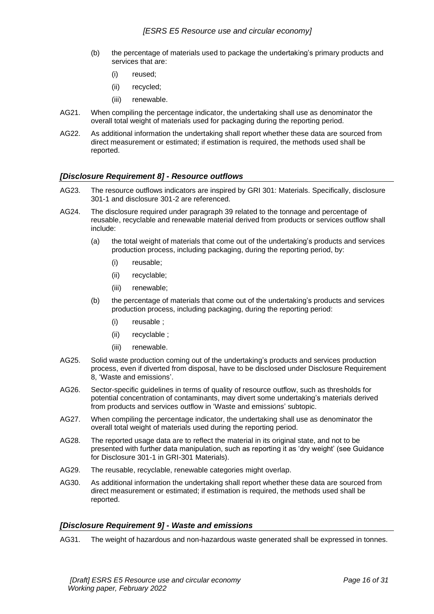- (b) the percentage of materials used to package the undertaking's primary products and services that are:
	- (i) reused;
	- (ii) recycled;
	- (iii) renewable.
- AG21. When compiling the percentage indicator, the undertaking shall use as denominator the overall total weight of materials used for packaging during the reporting period.
- AG22. As additional information the undertaking shall report whether these data are sourced from direct measurement or estimated; if estimation is required, the methods used shall be reported.

# <span id="page-15-0"></span>*[Disclosure Requirement 8] - Resource outflows*

- AG23. The resource outflows indicators are inspired by GRI 301: Materials. Specifically, disclosure 301-1 and disclosure 301-2 are referenced.
- AG24. The disclosure required under paragraph 39 related to the tonnage and percentage of reusable, recyclable and renewable material derived from products or services outflow shall include:
	- (a) the total weight of materials that come out of the undertaking's products and services production process, including packaging, during the reporting period, by:
		- (i) reusable;
		- (ii) recyclable;
		- (iii) renewable;
	- (b) the percentage of materials that come out of the undertaking's products and services production process, including packaging, during the reporting period:
		- (i) reusable ;
		- (ii) recyclable ;
		- (iii) renewable.
- AG25. Solid waste production coming out of the undertaking's products and services production process, even if diverted from disposal, have to be disclosed under Disclosure Requirement 8, 'Waste and emissions'.
- AG26. Sector-specific guidelines in terms of quality of resource outflow, such as thresholds for potential concentration of contaminants, may divert some undertaking's materials derived from products and services outflow in 'Waste and emissions' subtopic.
- AG27. When compiling the percentage indicator, the undertaking shall use as denominator the overall total weight of materials used during the reporting period.
- AG28. The reported usage data are to reflect the material in its original state, and not to be presented with further data manipulation, such as reporting it as 'dry weight' (see Guidance for Disclosure 301-1 in GRI-301 Materials).
- AG29. The reusable, recyclable, renewable categories might overlap.
- AG30. As additional information the undertaking shall report whether these data are sourced from direct measurement or estimated; if estimation is required, the methods used shall be reported.

# <span id="page-15-1"></span>*[Disclosure Requirement 9] - Waste and emissions*

AG31. The weight of hazardous and non-hazardous waste generated shall be expressed in tonnes.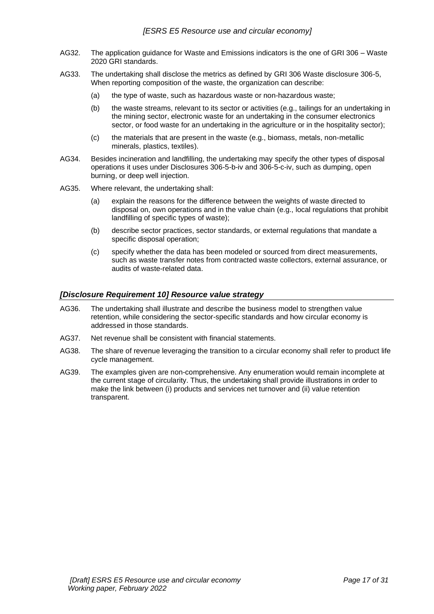- AG32. The application guidance for Waste and Emissions indicators is the one of GRI 306 Waste 2020 GRI standards.
- AG33. The undertaking shall disclose the metrics as defined by GRI 306 Waste disclosure 306-5, When reporting composition of the waste, the organization can describe:
	- (a) the type of waste, such as hazardous waste or non-hazardous waste;
	- (b) the waste streams, relevant to its sector or activities (e.g., tailings for an undertaking in the mining sector, electronic waste for an undertaking in the consumer electronics sector, or food waste for an undertaking in the agriculture or in the hospitality sector);
	- (c) the materials that are present in the waste (e.g., biomass, metals, non-metallic minerals, plastics, textiles).
- AG34. Besides incineration and landfilling, the undertaking may specify the other types of disposal operations it uses under Disclosures 306-5-b-iv and 306-5-c-iv, such as dumping, open burning, or deep well injection.
- AG35. Where relevant, the undertaking shall:
	- (a) explain the reasons for the difference between the weights of waste directed to disposal on, own operations and in the value chain (e.g., local regulations that prohibit landfilling of specific types of waste);
	- (b) describe sector practices, sector standards, or external regulations that mandate a specific disposal operation;
	- (c) specify whether the data has been modeled or sourced from direct measurements, such as waste transfer notes from contracted waste collectors, external assurance, or audits of waste-related data.

### <span id="page-16-0"></span>*[Disclosure Requirement 10] Resource value strategy*

- AG36. The undertaking shall illustrate and describe the business model to strengthen value retention, while considering the sector-specific standards and how circular economy is addressed in those standards.
- AG37. Net revenue shall be consistent with financial statements.
- AG38. The share of revenue leveraging the transition to a circular economy shall refer to product life cycle management.
- AG39. The examples given are non-comprehensive. Any enumeration would remain incomplete at the current stage of circularity. Thus, the undertaking shall provide illustrations in order to make the link between (i) products and services net turnover and (ii) value retention transparent.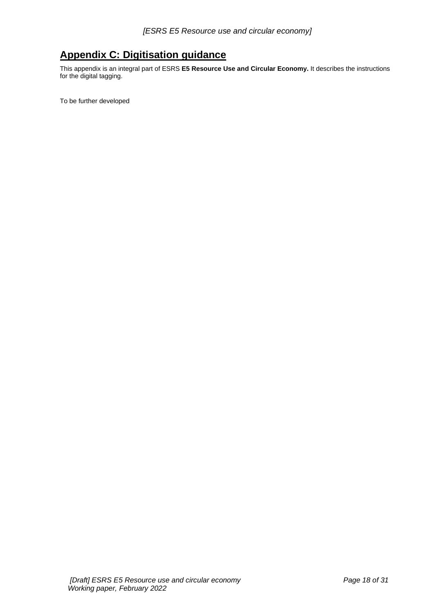# <span id="page-17-0"></span>**Appendix C: Digitisation guidance**

This appendix is an integral part of ESRS **E5 Resource Use and Circular Economy.** It describes the instructions for the digital tagging.

To be further developed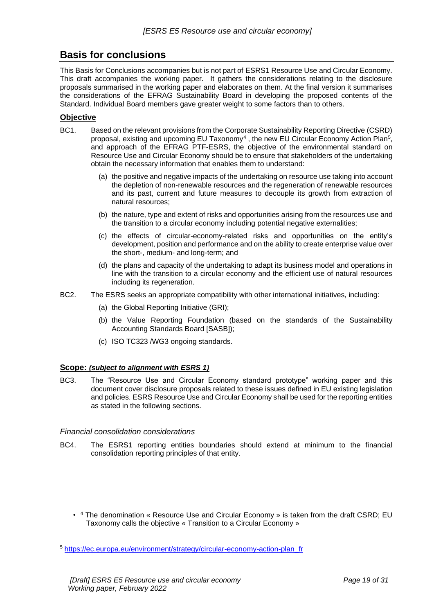# <span id="page-18-0"></span>**Basis for conclusions**

This Basis for Conclusions accompanies but is not part of ESRS1 Resource Use and Circular Economy. This draft accompanies the working paper. It gathers the considerations relating to the disclosure proposals summarised in the working paper and elaborates on them. At the final version it summarises the considerations of the EFRAG Sustainability Board in developing the proposed contents of the Standard. Individual Board members gave greater weight to some factors than to others.

# **Objective**

- BC1. Based on the relevant provisions from the Corporate Sustainability Reporting Directive (CSRD) proposal, existing and upcoming EU Taxonomy<sup>4</sup>, the new EU Circular Economy Action Plan<sup>5</sup>, and approach of the EFRAG PTF-ESRS, the objective of the environmental standard on Resource Use and Circular Economy should be to ensure that stakeholders of the undertaking obtain the necessary information that enables them to understand:
	- (a) the positive and negative impacts of the undertaking on resource use taking into account the depletion of non-renewable resources and the regeneration of renewable resources and its past, current and future measures to decouple its growth from extraction of natural resources;
	- (b) the nature, type and extent of risks and opportunities arising from the resources use and the transition to a circular economy including potential negative externalities;
	- (c) the effects of circular-economy-related risks and opportunities on the entity's development, position and performance and on the ability to create enterprise value over the short-, medium- and long-term; and
	- (d) the plans and capacity of the undertaking to adapt its business model and operations in line with the transition to a circular economy and the efficient use of natural resources including its regeneration.
- BC2. The ESRS seeks an appropriate compatibility with other international initiatives, including:
	- (a) the Global Reporting Initiative (GRI);
	- (b) the Value Reporting Foundation (based on the standards of the Sustainability Accounting Standards Board [SASB]);
	- (c) ISO TC323 /WG3 ongoing standards.

# **Scope:** *(subject to alignment with ESRS 1)*

BC3. The "Resource Use and Circular Economy standard prototype" working paper and this document cover disclosure proposals related to these issues defined in EU existing legislation and policies. ESRS Resource Use and Circular Economy shall be used for the reporting entities as stated in the following sections.

# *Financial consolidation considerations*

BC4. The ESRS1 reporting entities boundaries should extend at minimum to the financial consolidation reporting principles of that entity.

<sup>•</sup> <sup>4</sup> The denomination « Resource Use and Circular Economy » is taken from the draft CSRD; EU Taxonomy calls the objective « Transition to a Circular Economy »

<sup>5</sup> [https://ec.europa.eu/environment/strategy/circular-economy-action-plan\\_fr](https://ec.europa.eu/environment/strategy/circular-economy-action-plan_fr)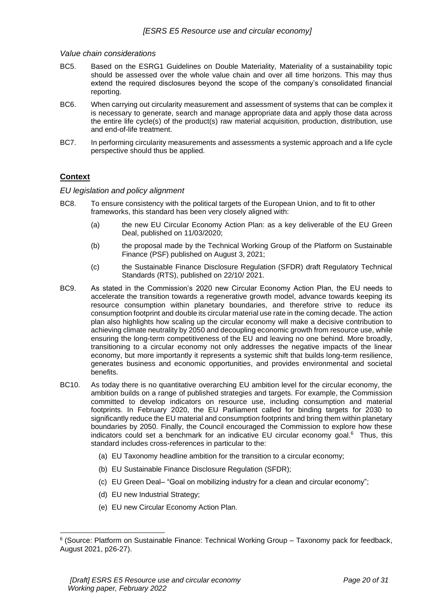### *Value chain considerations*

- BC5. Based on the ESRG1 Guidelines on Double Materiality, Materiality of a sustainability topic should be assessed over the whole value chain and over all time horizons. This may thus extend the required disclosures beyond the scope of the company's consolidated financial reporting.
- BC6. When carrying out circularity measurement and assessment of systems that can be complex it is necessary to generate, search and manage appropriate data and apply those data across the entire life cycle(s) of the product(s) raw material acquisition, production, distribution, use and end-of-life treatment.
- BC7. In performing circularity measurements and assessments a systemic approach and a life cycle perspective should thus be applied.

# **Context**

### *EU legislation and policy alignment*

- BC8. To ensure consistency with the political targets of the European Union, and to fit to other frameworks, this standard has been very closely aligned with:
	- (a) the new EU Circular Economy Action Plan: as a key deliverable of the EU Green Deal, published on 11/03/2020;
	- (b) the proposal made by the Technical Working Group of the Platform on Sustainable Finance (PSF) published on August 3, 2021;
	- (c) the Sustainable Finance Disclosure Regulation (SFDR) draft Regulatory Technical Standards (RTS), published on 22/10/ 2021.
- BC9. As stated in the Commission's 2020 new Circular Economy Action Plan, the EU needs to accelerate the transition towards a regenerative growth model, advance towards keeping its resource consumption within planetary boundaries, and therefore strive to reduce its consumption footprint and double its circular material use rate in the coming decade. The action plan also highlights how scaling up the circular economy will make a decisive contribution to achieving climate neutrality by 2050 and decoupling economic growth from resource use, while ensuring the long-term competitiveness of the EU and leaving no one behind. More broadly, transitioning to a circular economy not only addresses the negative impacts of the linear economy, but more importantly it represents a systemic shift that builds long-term resilience, generates business and economic opportunities, and provides environmental and societal benefits.
- BC10. As today there is no quantitative overarching EU ambition level for the circular economy, the ambition builds on a range of published strategies and targets. For example, the Commission committed to develop indicators on resource use, including consumption and material footprints. In February 2020, the EU Parliament called for binding targets for 2030 to significantly reduce the EU material and consumption footprints and bring them within planetary boundaries by 2050. Finally, the Council encouraged the Commission to explore how these indicators could set a benchmark for an indicative EU circular economy goal.<sup>6</sup> Thus, this standard includes cross-references in particular to the:
	- (a) EU Taxonomy headline ambition for the transition to a circular economy;
	- (b) EU Sustainable Finance Disclosure Regulation (SFDR);
	- (c) EU Green Deal– "Goal on mobilizing industry for a clean and circular economy";
	- (d) EU new Industrial Strategy;
	- (e) EU new Circular Economy Action Plan.

<sup>&</sup>lt;sup>6</sup> (Source: Platform on Sustainable Finance: Technical Working Group - Taxonomy pack for feedback, August 2021, p26-27).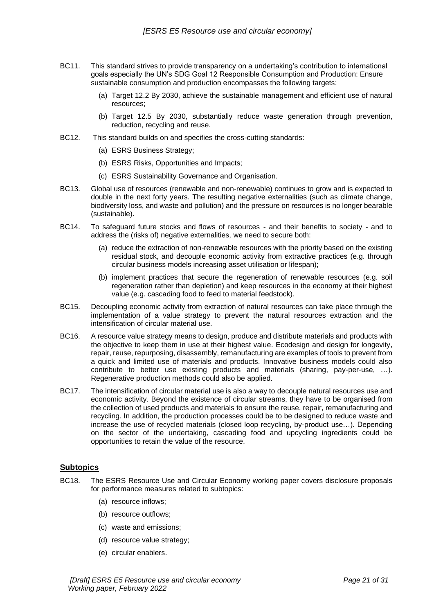- BC11. This standard strives to provide transparency on a undertaking's contribution to international goals especially the UN's SDG Goal 12 Responsible Consumption and Production: Ensure sustainable consumption and production encompasses the following targets:
	- (a) Target 12.2 By 2030, achieve the sustainable management and efficient use of natural resources;
	- (b) Target 12.5 By 2030, substantially reduce waste generation through prevention, reduction, recycling and reuse.
- BC12. This standard builds on and specifies the cross-cutting standards:
	- (a) ESRS Business Strategy;
	- (b) ESRS Risks, Opportunities and Impacts;
	- (c) ESRS Sustainability Governance and Organisation.
- BC13. Global use of resources (renewable and non-renewable) continues to grow and is expected to double in the next forty years. The resulting negative externalities (such as climate change, biodiversity loss, and waste and pollution) and the pressure on resources is no longer bearable (sustainable).
- BC14. To safeguard future stocks and flows of resources and their benefits to society and to address the (risks of) negative externalities, we need to secure both:
	- (a) reduce the extraction of non-renewable resources with the priority based on the existing residual stock, and decouple economic activity from extractive practices (e.g. through circular business models increasing asset utilisation or lifespan);
	- (b) implement practices that secure the regeneration of renewable resources (e.g. soil regeneration rather than depletion) and keep resources in the economy at their highest value (e.g. cascading food to feed to material feedstock).
- BC15. Decoupling economic activity from extraction of natural resources can take place through the implementation of a value strategy to prevent the natural resources extraction and the intensification of circular material use.
- BC16. A resource value strategy means to design, produce and distribute materials and products with the objective to keep them in use at their highest value. Ecodesign and design for longevity, repair, reuse, repurposing, disassembly, remanufacturing are examples of tools to prevent from a quick and limited use of materials and products. Innovative business models could also contribute to better use existing products and materials (sharing, pay-per-use, …). Regenerative production methods could also be applied.
- BC17. The intensification of circular material use is also a way to decouple natural resources use and economic activity. Beyond the existence of circular streams, they have to be organised from the collection of used products and materials to ensure the reuse, repair, remanufacturing and recycling. In addition, the production processes could be to be designed to reduce waste and increase the use of recycled materials (closed loop recycling, by-product use…). Depending on the sector of the undertaking, cascading food and upcycling ingredients could be opportunities to retain the value of the resource.

# **Subtopics**

- BC18. The ESRS Resource Use and Circular Economy working paper covers disclosure proposals for performance measures related to subtopics:
	- (a) resource inflows;
	- (b) resource outflows;
	- (c) waste and emissions;
	- (d) resource value strategy;
	- (e) circular enablers.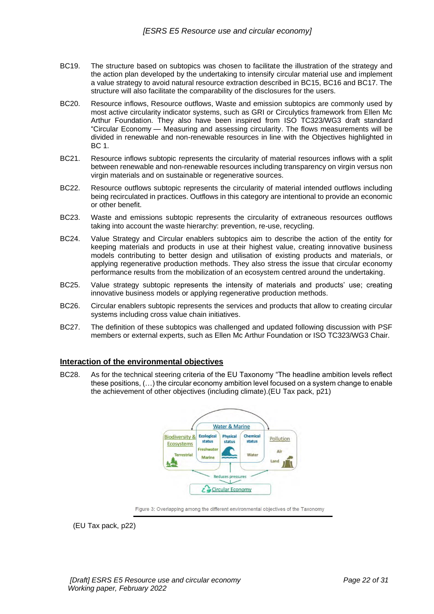- BC19. The structure based on subtopics was chosen to facilitate the illustration of the strategy and the action plan developed by the undertaking to intensify circular material use and implement a value strategy to avoid natural resource extraction described in BC15, BC16 and BC17. The structure will also facilitate the comparability of the disclosures for the users.
- BC20. Resource inflows, Resource outflows, Waste and emission subtopics are commonly used by most active circularity indicator systems, such as GRI or Circulytics framework from Ellen Mc Arthur Foundation. They also have been inspired from ISO TC323/WG3 draft standard "Circular Economy — Measuring and assessing circularity. The flows measurements will be divided in renewable and non-renewable resources in line with the Objectives highlighted in BC 1.
- BC21. Resource inflows subtopic represents the circularity of material resources inflows with a split between renewable and non-renewable resources including transparency on virgin versus non virgin materials and on sustainable or regenerative sources.
- BC22. Resource outflows subtopic represents the circularity of material intended outflows including being recirculated in practices. Outflows in this category are intentional to provide an economic or other benefit.
- BC23. Waste and emissions subtopic represents the circularity of extraneous resources outflows taking into account the waste hierarchy: prevention, re-use, recycling.
- BC24. Value Strategy and Circular enablers subtopics aim to describe the action of the entity for keeping materials and products in use at their highest value, creating innovative business models contributing to better design and utilisation of existing products and materials, or applying regenerative production methods. They also stress the issue that circular economy performance results from the mobilization of an ecosystem centred around the undertaking.
- BC25. Value strategy subtopic represents the intensity of materials and products' use; creating innovative business models or applying regenerative production methods.
- BC26. Circular enablers subtopic represents the services and products that allow to creating circular systems including cross value chain initiatives.
- BC27. The definition of these subtopics was challenged and updated following discussion with PSF members or external experts, such as Ellen Mc Arthur Foundation or ISO TC323/WG3 Chair.

# **Interaction of the environmental objectives**

BC28. As for the technical steering criteria of the EU Taxonomy "The headline ambition levels reflect these positions, (…) the circular economy ambition level focused on a system change to enable the achievement of other objectives (including climate).(EU Tax pack, p21)



Figure 3: Overlapping among the different environmental objectives of the Taxonomy

(EU Tax pack, p22)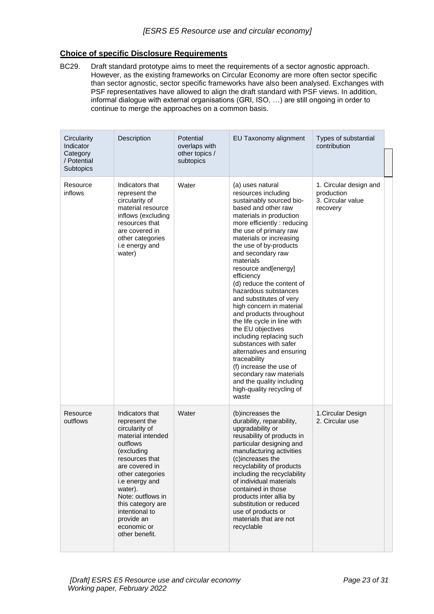# **Choice of specific Disclosure Requirements**

BC29. Draft standard prototype aims to meet the requirements of a sector agnostic approach. However, as the existing frameworks on Circular Economy are more often sector specific than sector agnostic, sector specific frameworks have also been analysed. Exchanges with PSF representatives have allowed to align the draft standard with PSF views. In addition, informal dialogue with external organisations (GRI, ISO, …) are still ongoing in order to continue to merge the approaches on a common basis.

| Circularity<br>Indicator<br>Category<br>/ Potential<br><b>Subtopics</b> | Description                                                                                                                                                                                                                                                                                       | Potential<br>overlaps with<br>other topics /<br>subtopics | EU Taxonomy alignment                                                                                                                                                                                                                                                                                                                                                                                                                                                                                                                                                                                                                                                                                                              | Types of substantial<br>contribution                                  |
|-------------------------------------------------------------------------|---------------------------------------------------------------------------------------------------------------------------------------------------------------------------------------------------------------------------------------------------------------------------------------------------|-----------------------------------------------------------|------------------------------------------------------------------------------------------------------------------------------------------------------------------------------------------------------------------------------------------------------------------------------------------------------------------------------------------------------------------------------------------------------------------------------------------------------------------------------------------------------------------------------------------------------------------------------------------------------------------------------------------------------------------------------------------------------------------------------------|-----------------------------------------------------------------------|
| Resource<br>inflows                                                     | Indicators that<br>represent the<br>circularity of<br>material resource<br>inflows (excluding<br>resources that<br>are covered in<br>other categories<br>i.e energy and<br>water)                                                                                                                 | Water                                                     | (a) uses natural<br>resources including<br>sustainably sourced bio-<br>based and other raw<br>materials in production<br>more efficiently : reducing<br>the use of primary raw<br>materials or increasing<br>the use of by-products<br>and secondary raw<br>materials<br>resource and [energy]<br>efficiency<br>(d) reduce the content of<br>hazardous substances<br>and substitutes of verv<br>high concern in material<br>and products throughout<br>the life cycle in line with<br>the EU objectives<br>including replacing such<br>substances with safer<br>alternatives and ensuring<br>traceability<br>(f) increase the use of<br>secondary raw materials<br>and the quality including<br>high-quality recycling of<br>waste | 1. Circular design and<br>production<br>3. Circular value<br>recovery |
| Resource<br>outflows                                                    | Indicators that<br>represent the<br>circularity of<br>material intended<br>outflows<br>(excluding<br>resources that<br>are covered in<br>other categories<br>i.e energy and<br>water).<br>Note: outflows in<br>this category are<br>intentional to<br>provide an<br>economic or<br>other benefit. | Water                                                     | (b)increases the<br>durability, reparability,<br>upgradability or<br>reusability of products in<br>particular designing and<br>manufacturing activities<br>(c)increases the<br>recyclability of products<br>including the recyclability<br>of individual materials<br>contained in those<br>products inter allia by<br>substitution or reduced<br>use of products or<br>materials that are not<br>recyclable                                                                                                                                                                                                                                                                                                                       | 1. Circular Design<br>2. Circular use                                 |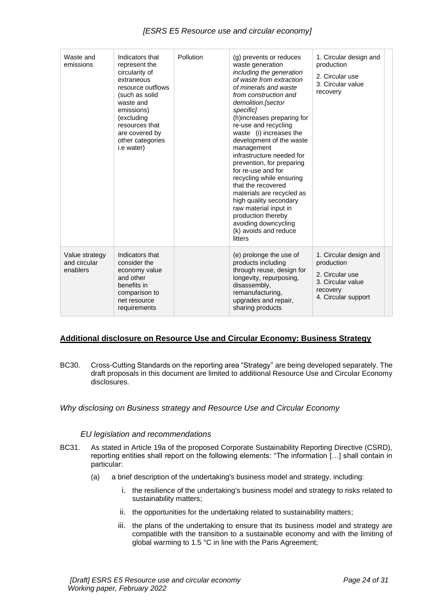| [ESRS E5 Resource use and circular economy] |                                                                                                                                                                                                                        |           |                                                                                                                                                                                                                                                                                                                                                                                                                                                                                                                                                                                                                         |                                                                                          |
|---------------------------------------------|------------------------------------------------------------------------------------------------------------------------------------------------------------------------------------------------------------------------|-----------|-------------------------------------------------------------------------------------------------------------------------------------------------------------------------------------------------------------------------------------------------------------------------------------------------------------------------------------------------------------------------------------------------------------------------------------------------------------------------------------------------------------------------------------------------------------------------------------------------------------------------|------------------------------------------------------------------------------------------|
| Waste and<br>emissions                      | Indicators that<br>represent the<br>circularity of<br>extraneous<br>resource outflows<br>(such as solid<br>waste and<br>emissions)<br>(excluding<br>resources that<br>are covered by<br>other categories<br>i.e water) | Pollution | (g) prevents or reduces<br>waste generation<br>including the generation<br>of waste from extraction<br>of minerals and waste<br>from construction and<br>demolition.[sector<br>specific]<br>(h)increases preparing for<br>re-use and recycling<br>waste (i) increases the<br>development of the waste<br>management<br>infrastructure needed for<br>prevention, for preparing<br>for re-use and for<br>recycling while ensuring<br>that the recovered<br>materials are recycled as<br>high quality secondary<br>raw material input in<br>production thereby<br>avoiding downcycling<br>(k) avoids and reduce<br>litters | 1. Circular design and<br>production<br>2. Circular use<br>3. Circular value<br>recovery |
| Value strategy<br>and circular<br>enablers  | Indicators that<br>consider the<br>economy value<br>and other<br>benefits in<br>comparison to                                                                                                                          |           | (e) prolonge the use of<br>products including<br>through reuse, design for<br>longevity, repurposing,<br>disassembly,<br>remanufacturing.                                                                                                                                                                                                                                                                                                                                                                                                                                                                               | 1. Circular design and<br>production<br>2. Circular use<br>3. Circular value<br>recovery |

**Additional disclosure on Resource Use and Circular Economy: Business Strategy**

BC30. Cross-Cutting Standards on the reporting area "Strategy" are being developed separately. The

draft proposals in this document are limited to additional Resource Use and Circular Economy

# *Why disclosing on Business strategy and Resource Use and Circular Economy*

#### *EU legislation and recommendations*

net resource requirements

disclosures.

- BC31. As stated in Article 19a of the proposed Corporate Sustainability Reporting Directive (CSRD), reporting entities shall report on the following elements: "The information […] shall contain in particular:
	- (a) a brief description of the undertaking's business model and strategy, including:
		- i. the resilience of the undertaking's business model and strategy to risks related to sustainability matters;

upgrades and repair, sharing products

- ii. the opportunities for the undertaking related to sustainability matters;
- iii. the plans of the undertaking to ensure that its business model and strategy are compatible with the transition to a sustainable economy and with the limiting of global warming to 1.5 °C in line with the Paris Agreement;

4. Circular support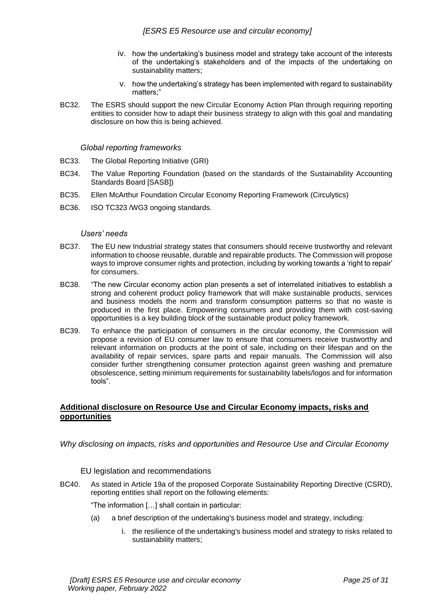- iv. how the undertaking's business model and strategy take account of the interests of the undertaking's stakeholders and of the impacts of the undertaking on sustainability matters;
- v. how the undertaking's strategy has been implemented with regard to sustainability matters;"
- BC32. The ESRS should support the new Circular Economy Action Plan through requiring reporting entities to consider how to adapt their business strategy to align with this goal and mandating disclosure on how this is being achieved.

### *Global reporting frameworks*

- BC33. The Global Reporting Initiative (GRI)
- BC34. The Value Reporting Foundation (based on the standards of the Sustainability Accounting Standards Board [SASB])
- BC35. Ellen McArthur Foundation Circular Economy Reporting Framework (Circulytics)
- BC36. ISO TC323 /WG3 ongoing standards.

#### *Users' needs*

- BC37. The EU new Industrial strategy states that consumers should receive trustworthy and relevant information to choose reusable, durable and repairable products. The Commission will propose ways to improve consumer rights and protection, including by working towards a 'right to repair' for consumers.
- BC38. "The new Circular economy action plan presents a set of interrelated initiatives to establish a strong and coherent product policy framework that will make sustainable products, services and business models the norm and transform consumption patterns so that no waste is produced in the first place. Empowering consumers and providing them with cost-saving opportunities is a key building block of the sustainable product policy framework.
- BC39. To enhance the participation of consumers in the circular economy, the Commission will propose a revision of EU consumer law to ensure that consumers receive trustworthy and relevant information on products at the point of sale, including on their lifespan and on the availability of repair services, spare parts and repair manuals. The Commission will also consider further strengthening consumer protection against green washing and premature obsolescence, setting minimum requirements for sustainability labels/logos and for information tools".

# **Additional disclosure on Resource Use and Circular Economy impacts, risks and opportunities**

*Why disclosing on impacts, risks and opportunities and Resource Use and Circular Economy* 

# EU legislation and recommendations

BC40. As stated in Article 19a of the proposed Corporate Sustainability Reporting Directive (CSRD), reporting entities shall report on the following elements:

"The information […] shall contain in particular:

- (a) a brief description of the undertaking's business model and strategy, including:
	- i. the resilience of the undertaking's business model and strategy to risks related to sustainability matters;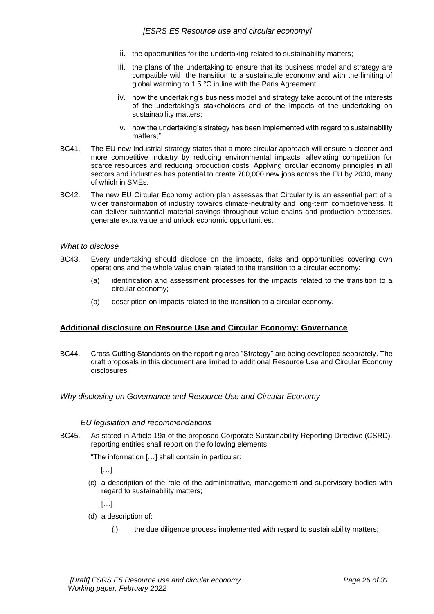- ii. the opportunities for the undertaking related to sustainability matters;
- iii. the plans of the undertaking to ensure that its business model and strategy are compatible with the transition to a sustainable economy and with the limiting of global warming to 1.5 °C in line with the Paris Agreement;
- iv. how the undertaking's business model and strategy take account of the interests of the undertaking's stakeholders and of the impacts of the undertaking on sustainability matters;
- v. how the undertaking's strategy has been implemented with regard to sustainability matters;"
- BC41. The EU new Industrial strategy states that a more circular approach will ensure a cleaner and more competitive industry by reducing environmental impacts, alleviating competition for scarce resources and reducing production costs. Applying circular economy principles in all sectors and industries has potential to create 700,000 new jobs across the EU by 2030, many of which in SMEs.
- BC42. The new EU Circular Economy action plan assesses that Circularity is an essential part of a wider transformation of industry towards climate-neutrality and long-term competitiveness. It can deliver substantial material savings throughout value chains and production processes, generate extra value and unlock economic opportunities.

### *What to disclose*

- BC43. Every undertaking should disclose on the impacts, risks and opportunities covering own operations and the whole value chain related to the transition to a circular economy:
	- (a) identification and assessment processes for the impacts related to the transition to a circular economy;
	- (b) description on impacts related to the transition to a circular economy.

# **Additional disclosure on Resource Use and Circular Economy: Governance**

- BC44. Cross-Cutting Standards on the reporting area "Strategy" are being developed separately. The draft proposals in this document are limited to additional Resource Use and Circular Economy disclosures.
- *Why disclosing on Governance and Resource Use and Circular Economy*

#### *EU legislation and recommendations*

BC45. As stated in Article 19a of the proposed Corporate Sustainability Reporting Directive (CSRD), reporting entities shall report on the following elements:

"The information […] shall contain in particular:

[…]

(c) a description of the role of the administrative, management and supervisory bodies with regard to sustainability matters;

 $\left[\ldots\right]$ 

- (d) a description of:
	- (i) the due diligence process implemented with regard to sustainability matters;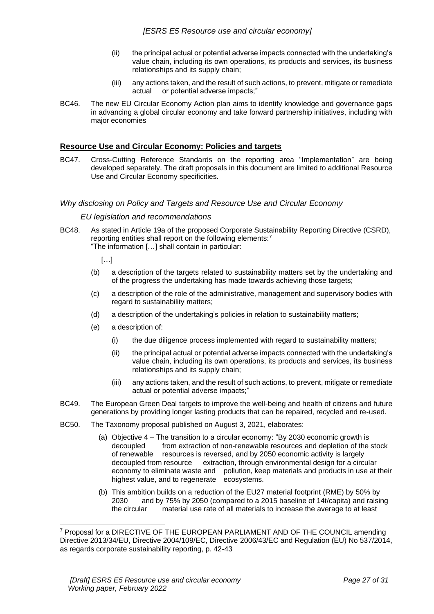- (ii) the principal actual or potential adverse impacts connected with the undertaking's value chain, including its own operations, its products and services, its business relationships and its supply chain;
- (iii) any actions taken, and the result of such actions, to prevent, mitigate or remediate actual or potential adverse impacts;"
- BC46. The new EU Circular Economy Action plan aims to identify knowledge and governance gaps in advancing a global circular economy and take forward partnership initiatives, including with major economies

# **Resource Use and Circular Economy: Policies and targets**

BC47. Cross-Cutting Reference Standards on the reporting area "Implementation" are being developed separately. The draft proposals in this document are limited to additional Resource Use and Circular Economy specificities.

### *Why disclosing on Policy and Targets and Resource Use and Circular Economy*

### *EU legislation and recommendations*

BC48. As stated in Article 19a of the proposed Corporate Sustainability Reporting Directive (CSRD), reporting entities shall report on the following elements:<sup>7</sup> "The information […] shall contain in particular:

[…]

- (b) a description of the targets related to sustainability matters set by the undertaking and of the progress the undertaking has made towards achieving those targets;
- (c) a description of the role of the administrative, management and supervisory bodies with regard to sustainability matters;
- (d) a description of the undertaking's policies in relation to sustainability matters;
- (e) a description of:
	- (i) the due diligence process implemented with regard to sustainability matters;
	- (ii) the principal actual or potential adverse impacts connected with the undertaking's value chain, including its own operations, its products and services, its business relationships and its supply chain;
	- (iii) any actions taken, and the result of such actions, to prevent, mitigate or remediate actual or potential adverse impacts;"
- BC49. The European Green Deal targets to improve the well-being and health of citizens and future generations by providing longer lasting products that can be repaired, recycled and re-used.
- BC50. The Taxonomy proposal published on August 3, 2021, elaborates:
	- (a) Objective 4 The transition to a circular economy: "By 2030 economic growth is decoupled from extraction of non-renewable resources and depletion of the stock of renewable resources is reversed, and by 2050 economic activity is largely decoupled from resource extraction, through environmental design for a circular economy to eliminate waste and pollution, keep materials and products in use at their highest value, and to regenerate ecosystems.
	- (b) This ambition builds on a reduction of the EU27 material footprint (RME) by 50% by 2030 and by 75% by 2050 (compared to a 2015 baseline of 14t/capita) and raising the circular material use rate of all materials to increase the average to at least

<sup>7</sup> Proposal for a DIRECTIVE OF THE EUROPEAN PARLIAMENT AND OF THE COUNCIL amending Directive 2013/34/EU, Directive 2004/109/EC, Directive 2006/43/EC and Regulation (EU) No 537/2014, as regards corporate sustainability reporting, p. 42-43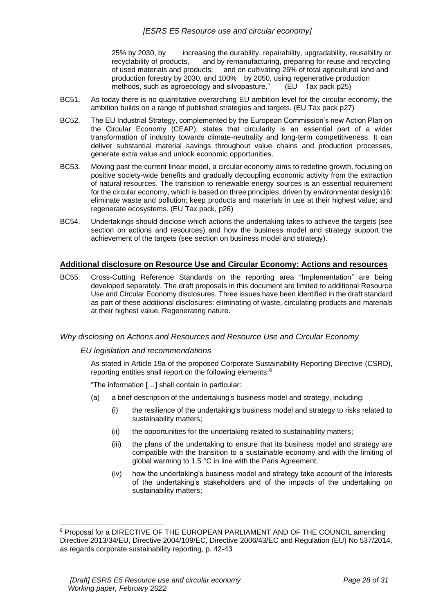25% by 2030, by increasing the durability, repairability, upgradability, reusability or recyclability of products, and by remanufacturing, preparing for reuse and recycling of used materials and products; and on cultivating 25% of total agricultural land and production forestry by 2030, and 100% by 2050, using regenerative production methods, such as agroecology and silvopasture." (EU Tax pack p25)

- BC51. As today there is no quantitative overarching EU ambition level for the circular economy, the ambition builds on a range of published strategies and targets. (EU Tax pack p27)
- BC52. The EU Industrial Strategy, complemented by the European Commission's new Action Plan on the Circular Economy (CEAP), states that circularity is an essential part of a wider transformation of industry towards climate-neutrality and long-term competitiveness. It can deliver substantial material savings throughout value chains and production processes, generate extra value and unlock economic opportunities.
- BC53. Moving past the current linear model, a circular economy aims to redefine growth, focusing on positive society-wide benefits and gradually decoupling economic activity from the extraction of natural resources. The transition to renewable energy sources is an essential requirement for the circular economy, which is based on three principles, driven by environmental design16: eliminate waste and pollution; keep products and materials in use at their highest value; and regenerate ecosystems. (EU Tax pack, p26)
- BC54. Undertakings should disclose which actions the undertaking takes to achieve the targets (see section on actions and resources) and how the business model and strategy support the achievement of the targets (see section on business model and strategy).

# **Additional disclosure on Resource Use and Circular Economy: Actions and resources**

BC55. Cross-Cutting Reference Standards on the reporting area "Implementation" are being developed separately. The draft proposals in this document are limited to additional Resource Use and Circular Economy disclosures. Three issues have been identified in the draft standard as part of these additional disclosures: eliminating of waste, circulating products and materials at their highest value, Regenerating nature.

# *Why disclosing on Actions and Resources and Resource Use and Circular Economy*

#### *EU legislation and recommendations*

As stated in Article 19a of the proposed Corporate Sustainability Reporting Directive (CSRD), reporting entities shall report on the following elements:<sup>8</sup>

"The information […] shall contain in particular:

- (a) a brief description of the undertaking's business model and strategy, including:
	- (i) the resilience of the undertaking's business model and strategy to risks related to sustainability matters;
	- (ii) the opportunities for the undertaking related to sustainability matters;
	- (iii) the plans of the undertaking to ensure that its business model and strategy are compatible with the transition to a sustainable economy and with the limiting of global warming to 1.5 °C in line with the Paris Agreement;
	- (iv) how the undertaking's business model and strategy take account of the interests of the undertaking's stakeholders and of the impacts of the undertaking on sustainability matters;

<sup>8</sup> Proposal for a DIRECTIVE OF THE EUROPEAN PARLIAMENT AND OF THE COUNCIL amending Directive 2013/34/EU, Directive 2004/109/EC, Directive 2006/43/EC and Regulation (EU) No 537/2014, as regards corporate sustainability reporting, p. 42-43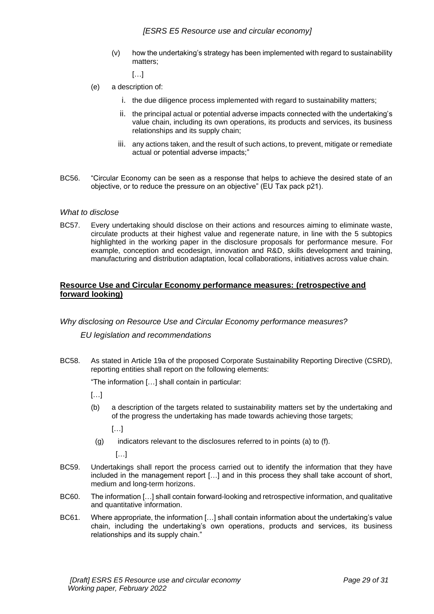(v) how the undertaking's strategy has been implemented with regard to sustainability matters;

 $\lceil$ ...

- (e) a description of:
	- i. the due diligence process implemented with regard to sustainability matters;
	- ii. the principal actual or potential adverse impacts connected with the undertaking's value chain, including its own operations, its products and services, its business relationships and its supply chain;
	- iii. any actions taken, and the result of such actions, to prevent, mitigate or remediate actual or potential adverse impacts;"
- BC56. "Circular Economy can be seen as a response that helps to achieve the desired state of an objective, or to reduce the pressure on an objective" (EU Tax pack p21).

### *What to disclose*

BC57. Every undertaking should disclose on their actions and resources aiming to eliminate waste, circulate products at their highest value and regenerate nature, in line with the 5 subtopics highlighted in the working paper in the disclosure proposals for performance mesure. For example, conception and ecodesign, innovation and R&D, skills development and training, manufacturing and distribution adaptation, local collaborations, initiatives across value chain.

# **Resource Use and Circular Economy performance measures: (retrospective and forward looking)**

# *Why disclosing on Resource Use and Circular Economy performance measures?*

# *EU legislation and recommendations*

BC58. As stated in Article 19a of the proposed Corporate Sustainability Reporting Directive (CSRD), reporting entities shall report on the following elements:

"The information […] shall contain in particular:

- […]
- (b) a description of the targets related to sustainability matters set by the undertaking and of the progress the undertaking has made towards achieving those targets;

[…]

 $(q)$  indicators relevant to the disclosures referred to in points (a) to (f).

 $[...]$ 

- BC59. Undertakings shall report the process carried out to identify the information that they have included in the management report […] and in this process they shall take account of short, medium and long-term horizons.
- BC60. The information […] shall contain forward-looking and retrospective information, and qualitative and quantitative information.
- BC61. Where appropriate, the information […] shall contain information about the undertaking's value chain, including the undertaking's own operations, products and services, its business relationships and its supply chain."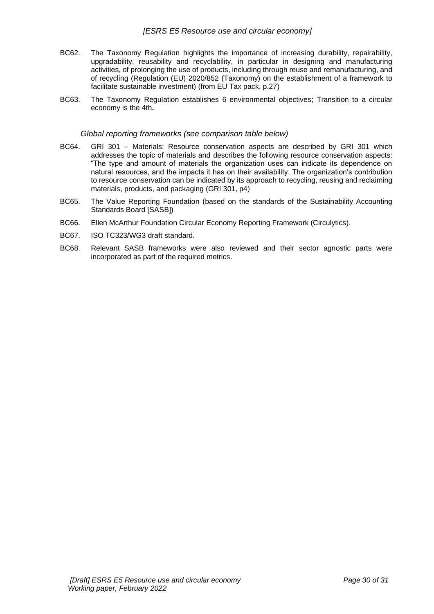- BC62. The Taxonomy Regulation highlights the importance of increasing durability, repairability, upgradability, reusability and recyclability, in particular in designing and manufacturing activities, of prolonging the use of products, including through reuse and remanufacturing, and of recycling (Regulation (EU) 2020/852 (Taxonomy) on the establishment of a framework to facilitate sustainable investment) (from EU Tax pack, p.27)
- BC63. The Taxonomy Regulation establishes 6 environmental objectives; Transition to a circular economy is the 4th**.**

#### *Global reporting frameworks (see comparison table below)*

- BC64. GRI 301 Materials: Resource conservation aspects are described by GRI 301 which addresses the topic of materials and describes the following resource conservation aspects: "The type and amount of materials the organization uses can indicate its dependence on natural resources, and the impacts it has on their availability. The organization's contribution to resource conservation can be indicated by its approach to recycling, reusing and reclaiming materials, products, and packaging (GRI 301, p4)
- BC65. The Value Reporting Foundation (based on the standards of the Sustainability Accounting Standards Board [SASB])
- BC66. Ellen McArthur Foundation Circular Economy Reporting Framework (Circulytics).
- BC67. ISO TC323/WG3 draft standard.
- BC68. Relevant SASB frameworks were also reviewed and their sector agnostic parts were incorporated as part of the required metrics.